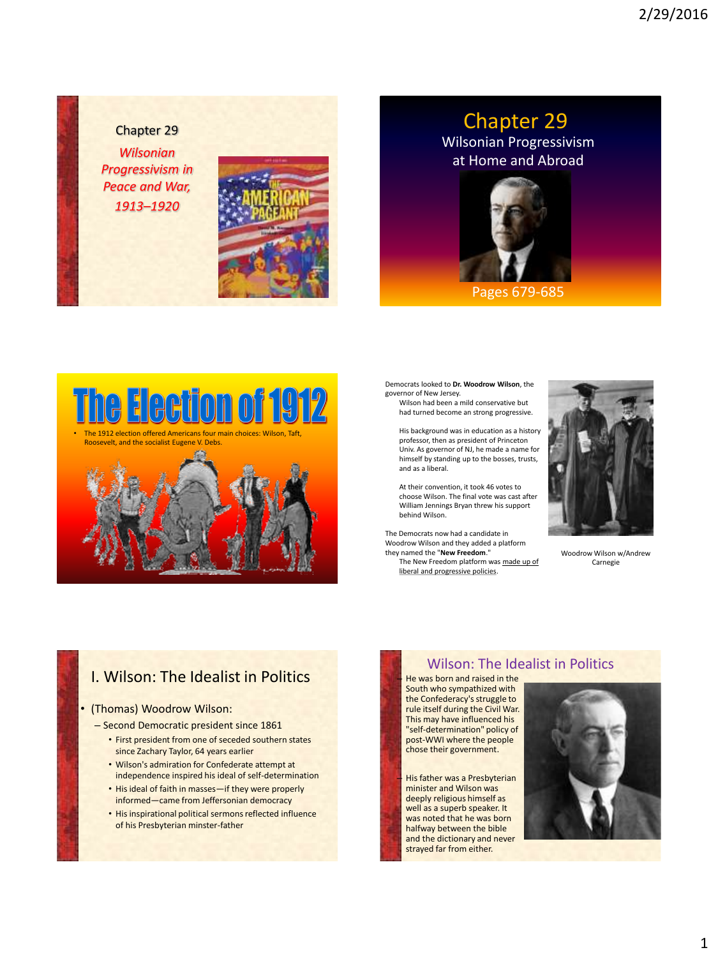Chapter 29 *Wilsonian Progressivism in Peace and War, 1913–1920*



## Wilsonian Progressivism at Home and Abroad Chapter 29



#### Pages 679-685



Democrats looked to **Dr. Woodrow Wilson**, the governor of New Jersey.

Wilson had been a mild conservative but had turned become an strong progressive.

His background was in education as a history professor, then as president of Princeton Univ. As governor of NJ, he made a name for himself by standing up to the bosses, trusts, and as a liberal.

At their convention, it took 46 votes to choose Wilson. The final vote was cast after William Jennings Bryan threw his support behind Wilson.

The Democrats now had a candidate in Woodrow Wilson and they added a platform they named the "**New Freedom**." The New Freedom platform was made up of liberal and progressive policies.



Woodrow Wilson w/Andrew Carnegie

### I. Wilson: The Idealist in Politics

#### • (Thomas) Woodrow Wilson:

- Second Democratic president since 1861
	- First president from one of seceded southern states since Zachary Taylor, 64 years earlier
	- Wilson's admiration for Confederate attempt at independence inspired his ideal of self-determination
	- His ideal of faith in masses—if they were properly informed—came from Jeffersonian democracy
	- His inspirational political sermons reflected influence of his Presbyterian minster-father

### Wilson: The Idealist in Politics

– He was born and raised in the South who sympathized with the Confederacy's struggle to rule itself during the Civil War. This may have influenced his "self-determination" policy of post-WWI where the people chose their government.

His father was a Presbyterian minister and Wilson was deeply religious himself as well as a superb speaker. It was noted that he was born halfway between the bible and the dictionary and never strayed far from either.

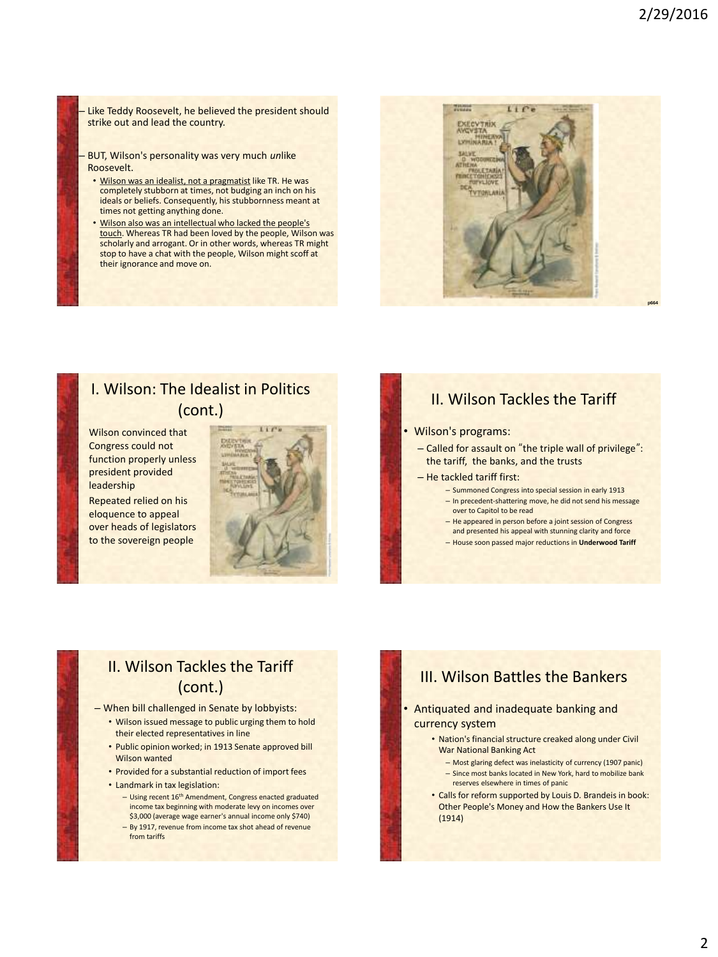Like Teddy Roosevelt, he believed the president should strike out and lead the country.

– BUT, Wilson's personality was very much *un*like Roosevelt.

- Wilson was an idealist, not a pragmatist like TR. He was completely stubborn at times, not budging an inch on his ideals or beliefs. Consequently, his stubbornness meant at times not getting anything done.
- Wilson also was an intellectual who lacked the people's touch. Whereas TR had been loved by the people, Wilson was scholarly and arrogant. Or in other words, whereas TR might stop to have a chat with the people, Wilson might scoff at their ignorance and move on.



### I. Wilson: The Idealist in Politics (cont.)

Wilson convinced that Congress could not function properly unless president provided leadership

Repeated relied on his eloquence to appeal over heads of legislators to the sovereign people

### II. Wilson Tackles the Tariff

#### • Wilson's programs:

– Called for assault on "the triple wall of privilege": the tariff, the banks, and the trusts

#### – He tackled tariff first:

- Summoned Congress into special session in early 1913
- In precedent-shattering move, he did not send his message over to Capitol to be read
- He appeared in person before a joint session of Congress and presented his appeal with stunning clarity and force
- House soon passed major reductions in **Underwood Tariff**

## II. Wilson Tackles the Tariff (cont.)

– When bill challenged in Senate by lobbyists:

- Wilson issued message to public urging them to hold their elected representatives in line
- Public opinion worked; in 1913 Senate approved bill Wilson wanted
- Provided for a substantial reduction of import fees
- Landmark in tax legislation:
	- Using recent 16th Amendment, Congress enacted graduated income tax beginning with moderate levy on incomes over \$3,000 (average wage earner's annual income only \$740)
	- By 1917, revenue from income tax shot ahead of revenue from tariffs

### III. Wilson Battles the Bankers

• Antiquated and inadequate banking and currency system

- Nation's financial structure creaked along under Civil War National Banking Act
	- Most glaring defect was inelasticity of currency (1907 panic) – Since most banks located in New York, hard to mobilize bank reserves elsewhere in times of panic
- Calls for reform supported by Louis D. Brandeis in book: Other People's Money and How the Bankers Use It (1914)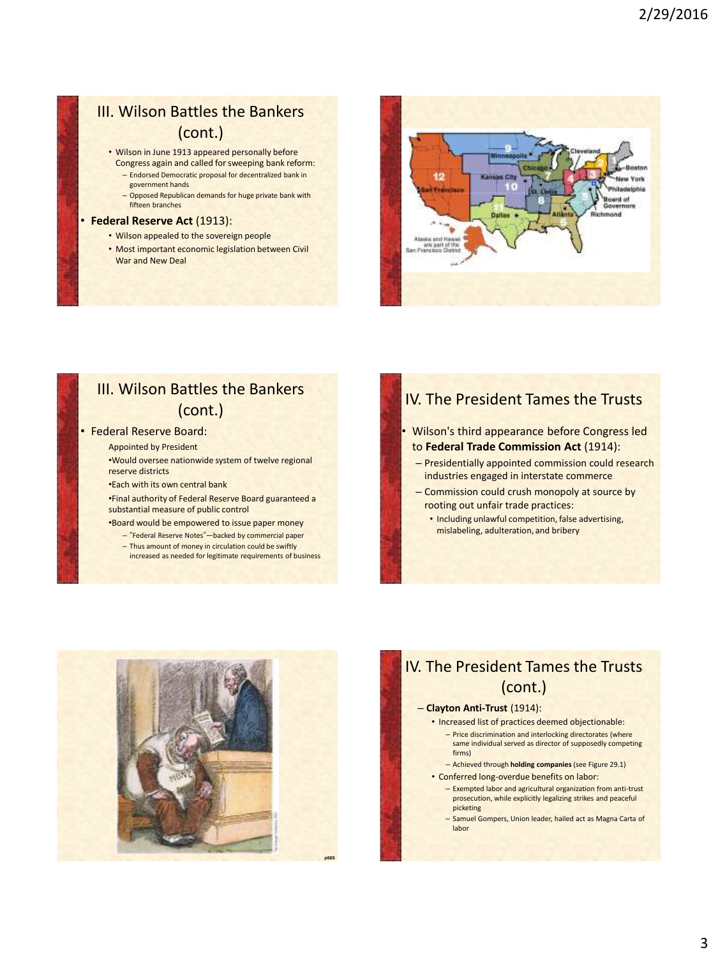## III. Wilson Battles the Bankers (cont.)

- Wilson in June 1913 appeared personally before
- Congress again and called for sweeping bank reform: – Endorsed Democratic proposal for decentralized bank in government hands
- Opposed Republican demands for huge private bank with fifteen branches

#### **Federal Reserve Act (1913):**

- Wilson appealed to the sovereign people
- Most important economic legislation between Civil War and New Deal



## III. Wilson Battles the Bankers (cont.)

#### • Federal Reserve Board:

Appointed by President

•Would oversee nationwide system of twelve regional reserve districts

•Each with its own central bank

•Final authority of Federal Reserve Board guaranteed a substantial measure of public control

•Board would be empowered to issue paper money

- "Federal Reserve Notes"—backed by commercial paper
- Thus amount of money in circulation could be swiftly increased as needed for legitimate requirements of business

### IV. The President Tames the Trusts

- Wilson's third appearance before Congress led to **Federal Trade Commission Act** (1914):
- Presidentially appointed commission could research industries engaged in interstate commerce
- Commission could crush monopoly at source by rooting out unfair trade practices:
	- Including unlawful competition, false advertising, mislabeling, adulteration, and bribery



## IV. The President Tames the Trusts (cont.)

#### – **Clayton Anti-Trust** (1914):

- Increased list of practices deemed objectionable: – Price discrimination and interlocking directorates (where same individual served as director of supposedly competing firms)
	- Achieved through **holding companies** (see Figure 29.1)
- Conferred long-overdue benefits on labor: – Exempted labor and agricultural organization from anti-trust prosecution, while explicitly legalizing strikes and peaceful picketing
	- Samuel Gompers, Union leader, hailed act as Magna Carta of labor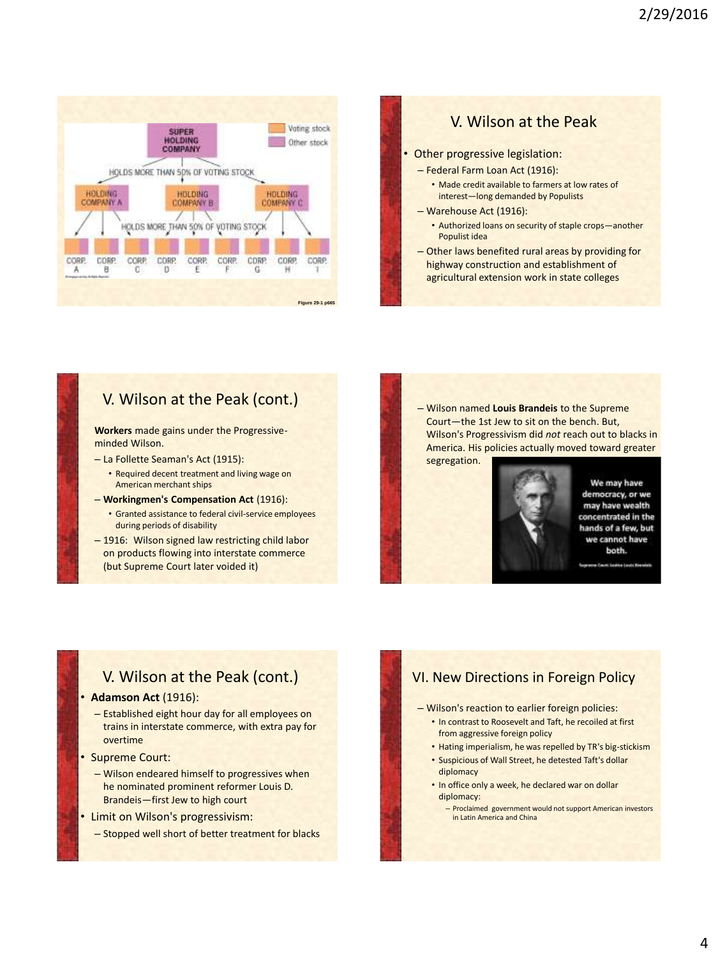



– Other laws benefited rural areas by providing for highway construction and establishment of agricultural extension work in state colleges

## V. Wilson at the Peak (cont.)

**Workers** made gains under the Progressiveminded Wilson.

- La Follette Seaman's Act (1915):
- Required decent treatment and living wage on American merchant ships
- **Workingmen's Compensation Act** (1916):
	- Granted assistance to federal civil-service employees during periods of disability
- 1916: Wilson signed law restricting child labor on products flowing into interstate commerce (but Supreme Court later voided it)

– Wilson named **Louis Brandeis** to the Supreme Court—the 1st Jew to sit on the bench. But, Wilson's Progressivism did *not* reach out to blacks in America. His policies actually moved toward greater segregation.



We may have democracy, or we may have wealth concentrated in the hands of a few, but we cannot have both.

### V. Wilson at the Peak (cont.)

#### • **Adamson Act** (1916):

- Established eight hour day for all employees on trains in interstate commerce, with extra pay for overtime
- Supreme Court:
	- Wilson endeared himself to progressives when he nominated prominent reformer Louis D. Brandeis—first Jew to high court
- Limit on Wilson's progressivism:
	- Stopped well short of better treatment for blacks

### VI. New Directions in Foreign Policy

- Wilson's reaction to earlier foreign policies:
	- In contrast to Roosevelt and Taft, he recoiled at first from aggressive foreign policy
	- Hating imperialism, he was repelled by TR's big-stickism
	- Suspicious of Wall Street, he detested Taft's dollar diplomacy
	- In office only a week, he declared war on dollar diplomacy:
		- Proclaimed government would not support American investors in Latin America and China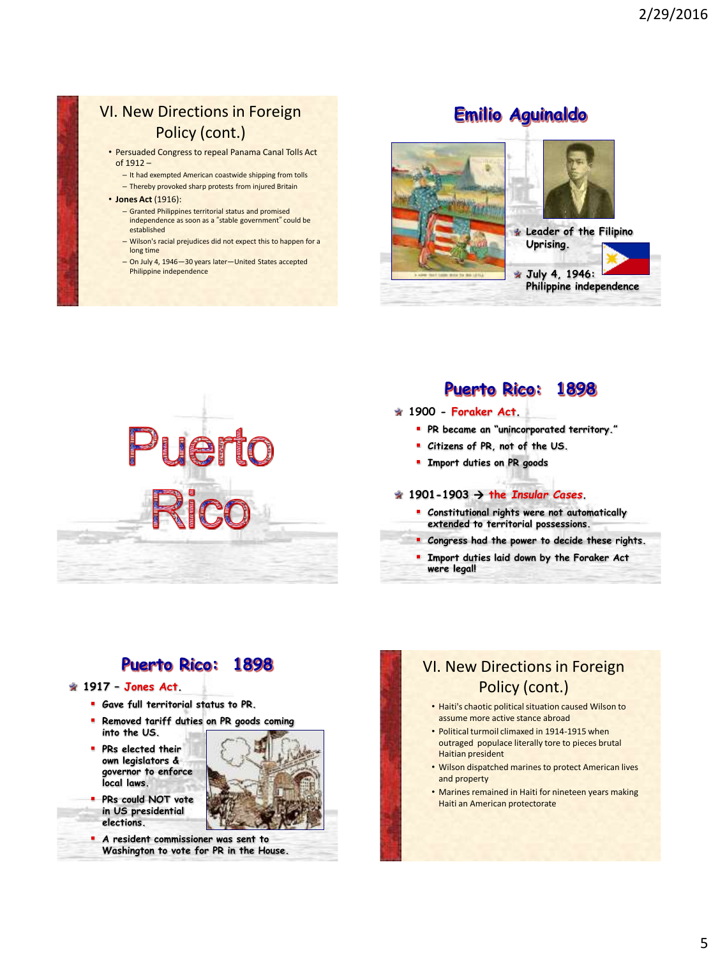### VI. New Directions in Foreign Policy (cont.)

- Persuaded Congress to repeal Panama Canal Tolls Act of 1912 –
	- It had exempted American coastwide shipping from tolls – Thereby provoked sharp protests from injured Britain
- **Jones Act** (1916):
	- Granted Philippines territorial status and promised independence as soon as a "stable government" could be established
	- Wilson's racial prejudices did not expect this to happen for a long time
	- On July 4, 1946—30 years later—United States accepted Philippine independence

## **Emilio Aguinaldo**









## **Puerto Rico: 1898**

- **1900 - Foraker Act.**
	- **PR became an "unincorporated territory."**
	- **Citizens of PR, not of the US.**
	- **Import duties on PR goods**

#### $\div$  1901-1903  $\rightarrow$  the *Insular Cases*.

- **Constitutional rights were not automatically extended to territorial possessions.**
- **Congress had the power to decide these rights.**
- **Import duties laid down by the Foraker Act were legal!**

## **Puerto Rico: 1898**

#### **1917 – Jones Act.**

- **Gave full territorial status to PR.**
- **Removed tariff duties on PR goods coming into the US.**
- **PRs elected their own legislators & governor to enforce local laws.**
- **PRs could NOT vote in US presidential elections.**



 **A resident commissioner was sent to Washington to vote for PR in the House.**

## VI. New Directions in Foreign Policy (cont.)

- Haiti's chaotic political situation caused Wilson to assume more active stance abroad
- Political turmoil climaxed in 1914-1915 when outraged populace literally tore to pieces brutal Haitian president
- Wilson dispatched marines to protect American lives and property
- Marines remained in Haiti for nineteen years making Haiti an American protectorate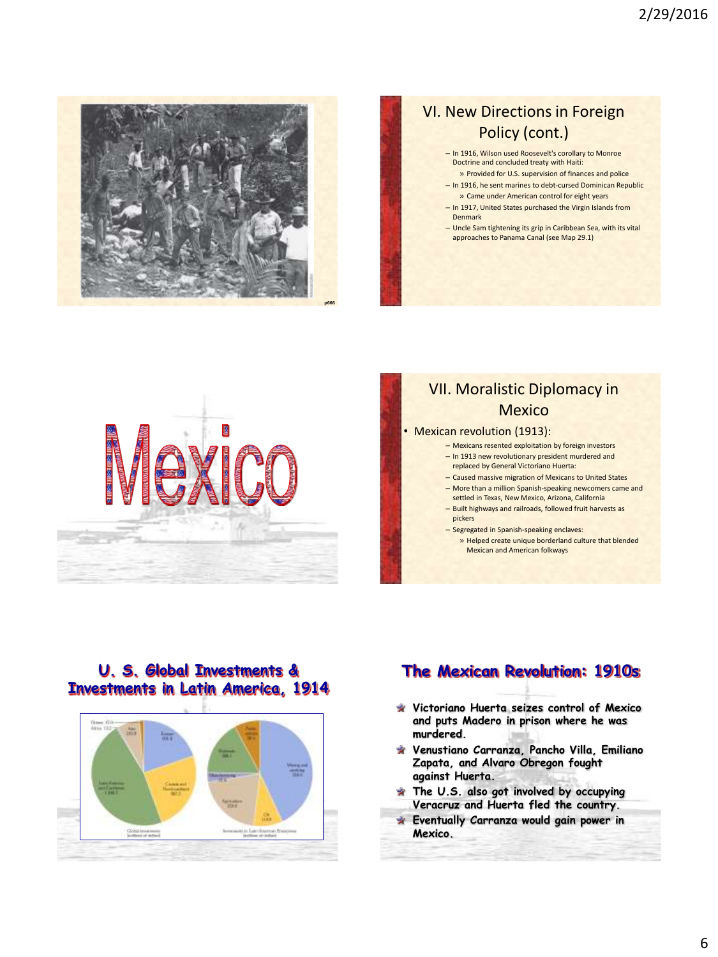

## VI. New Directions in Foreign Policy (cont.)

- In 1916, Wilson used Roosevelt's corollary to Monroe Doctrine and concluded treaty with Haiti:
- » Provided for U.S. supervision of finances and police – In 1916, he sent marines to debt-cursed Dominican Republic
- » Came under American control for eight years – In 1917, United States purchased the Virgin Islands from Denmark
- Uncle Sam tightening its grip in Caribbean Sea, with its vital approaches to Panama Canal (see Map 29.1)



## VII. Moralistic Diplomacy in Mexico

- Mexican revolution (1913):
	- Mexicans resented exploitation by foreign investors
	- In 1913 new revolutionary president murdered and replaced by General Victoriano Huerta:
	- Caused massive migration of Mexicans to United States
	- More than a million Spanish-speaking newcomers came and
	- settled in Texas, New Mexico, Arizona, California
	- Built highways and railroads, followed fruit harvests as pickers
	- Segregated in Spanish-speaking enclaves:
		- » Helped create unique borderland culture that blended Mexican and American folkways

### **U. S. Global Investments & Investments in Latin America, 1914**



## **The Mexican Revolution: 1910s**

- **Victoriano Huerta seizes control of Mexico and puts Madero in prison where he was murdered.**
- **Venustiano Carranza, Pancho Villa, Emiliano Zapata, and Alvaro Obregon fought against Huerta.**
- **The U.S. also got involved by occupying Veracruz and Huerta fled the country.**
- **Eventually Carranza would gain power in Mexico.**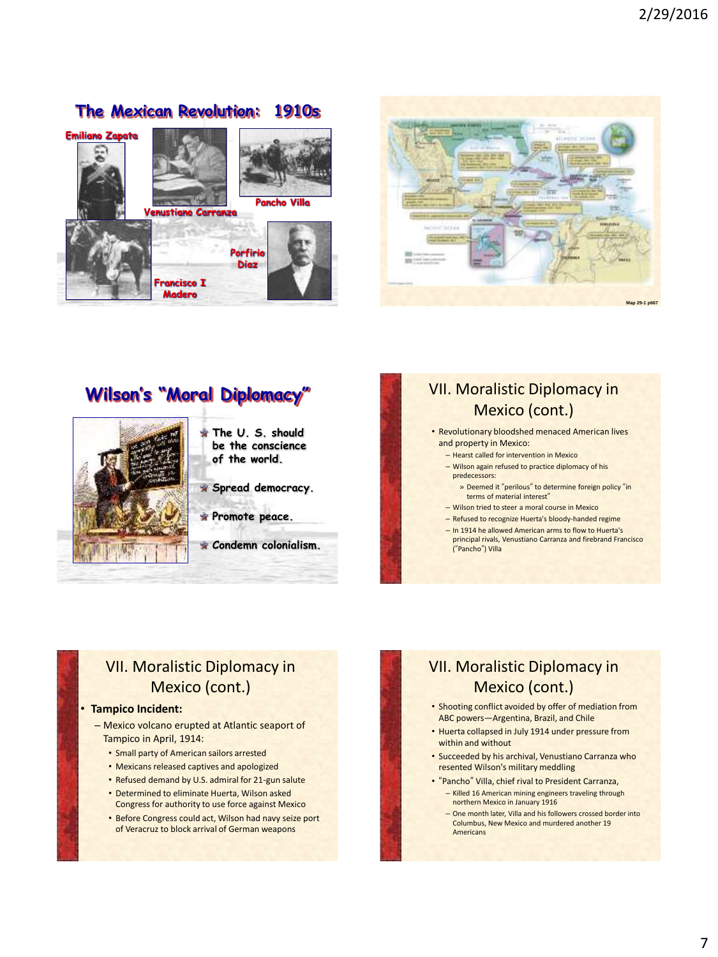



## **Wilson's "Moral Diplomacy"**



**The U. S. should be the conscience of the world.**

**Spread democracy.**

- **Promote peace.**
- **Condemn colonialism.**

## VII. Moralistic Diplomacy in Mexico (cont.)

• Revolutionary bloodshed menaced American lives

- and property in Mexico:
- Hearst called for intervention in Mexico – Wilson again refused to practice diplomacy of his predecessors:
- » Deemed it "perilous" to determine foreign policy "in terms of material interest"
- Wilson tried to steer a moral course in Mexico
- Refused to recognize Huerta's bloody-handed regime
- In 1914 he allowed American arms to flow to Huerta's principal rivals, Venustiano Carranza and firebrand Francisco ("Pancho") Villa

## VII. Moralistic Diplomacy in Mexico (cont.)

#### • **Tampico Incident:**

- Mexico volcano erupted at Atlantic seaport of Tampico in April, 1914:
	- Small party of American sailors arrested
	- Mexicans released captives and apologized
	- Refused demand by U.S. admiral for 21-gun salute
	- Determined to eliminate Huerta, Wilson asked Congress for authority to use force against Mexico
	- Before Congress could act, Wilson had navy seize port of Veracruz to block arrival of German weapons

## VII. Moralistic Diplomacy in Mexico (cont.)

- Shooting conflict avoided by offer of mediation from ABC powers—Argentina, Brazil, and Chile
- Huerta collapsed in July 1914 under pressure from within and without
- Succeeded by his archival, Venustiano Carranza who resented Wilson's military meddling
- "Pancho" Villa, chief rival to President Carranza, – Killed 16 American mining engineers traveling through northern Mexico in January 1916
	- One month later, Villa and his followers crossed border into Columbus, New Mexico and murdered another 19 Americans